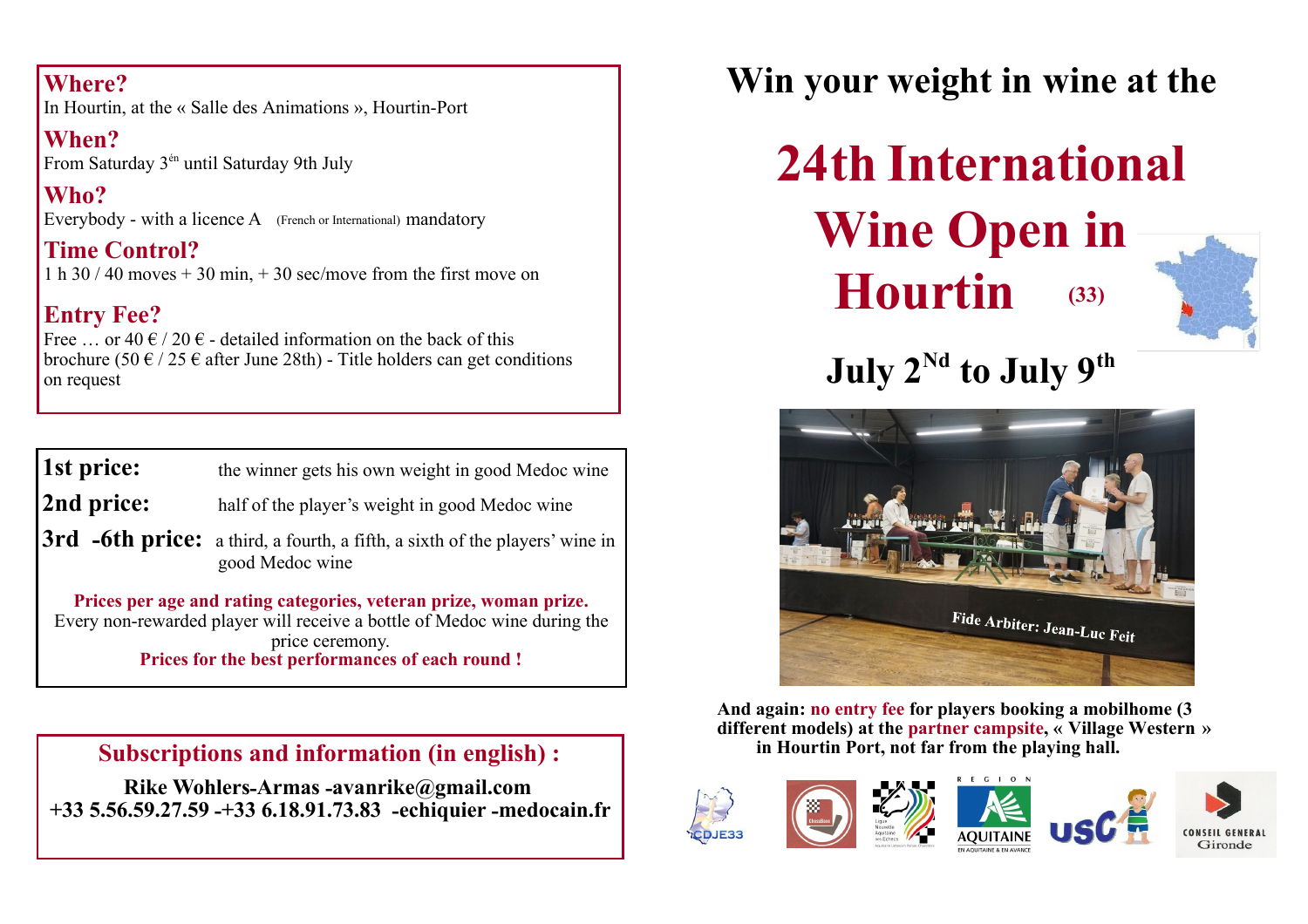#### **Where?**

In Hourtin, at the « Salle des Animations », Hourtin-Port

**When?**  From Saturday 3én until Saturday 9th July

**Who?** Everybody - with a licence A (French or International) mandatory

**Time Control?** 1 h  $30 / 40$  moves  $+ 30$  min,  $+ 30$  sec/move from the first move on

#### **Entry Fee?**

Free ... or 40  $\epsilon$  / 20  $\epsilon$  - detailed information on the back of this brochure (50  $\epsilon$  / 25  $\epsilon$  after June 28th) - Title holders can get conditions on request

| 1st price: | the winner gets his own weight in good Medoc wine                           |
|------------|-----------------------------------------------------------------------------|
| 2nd price: | half of the player's weight in good Medoc wine                              |
|            | 3rd -6th price: a third, a fourth, a fifth, a sixth of the players' wine in |

good Medoc wine

**Prices per age and rating categories, veteran prize, woman prize.** Every non-rewarded player will receive a bottle of Medoc wine during the price ceremony. **Prices for the best performances of each round !**

**Subscriptions and information (in english) :**

**Rike Wohlers-Armas -avanrike@gmail.com +33 5.56.59.27.59 -+33 6.18.91.73.83 -echiquier -medocain.fr** **Win your weight in wine at the**

**Wine Open in Hourtin (33) 24th International** 



 $\bf{July}$   $2^{\rm{Nd}}$  to  $\bf{July}$   $9^{\rm{th}}$ 



**And again: no entry fee for players booking a mobilhome (3 different models) at the partner campsite, « Village Western » in Hourtin Port, not far from the playing hall.**

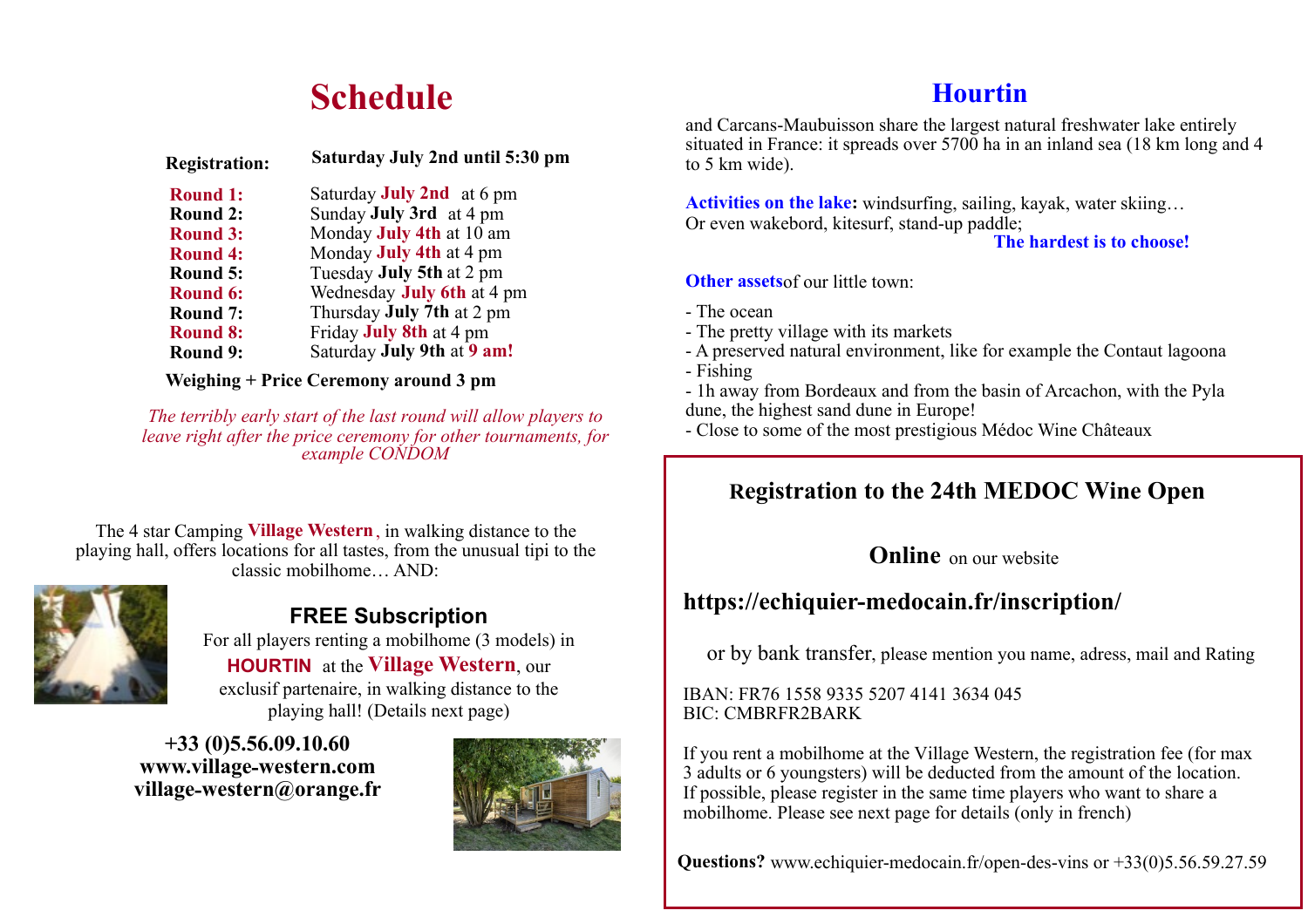#### **Schedule**

| <b>Registration:</b> | Saturday July 2nd until 5:30 pm   |
|----------------------|-----------------------------------|
| <b>Round 1:</b>      | Saturday <b>July 2nd</b> at 6 pm  |
| <b>Round 2:</b>      | Sunday <b>July 3rd</b> at 4 pm    |
| <b>Round 3:</b>      | Monday July 4th at 10 am          |
| <b>Round 4:</b>      | Monday <b>July 4th</b> at 4 pm    |
| Round 5:             | Tuesday July 5th at 2 pm          |
| Round 6:             | Wednesday <b>July 6th</b> at 4 pm |
| Round 7:             | Thursday <b>July 7th</b> at 2 pm  |
| <b>Round 8:</b>      | Friday July 8th at 4 pm           |
| Round 9:             | Saturday July 9th at 9 am!        |
|                      |                                   |

**Weighing + Price Ceremony around 3 pm**

*The terribly early start of the last round will allow players to leave right after the price ceremony for other tournaments, for example CONDOM*

The 4 star Camping **Village Western**, in walking distance to the playing hall, offers locations for all tastes, from the unusual tipi to the classic mobilhome… AND:



**FREE Subscription**  For all players renting a mobilhome (3 models) in **HOURTIN** at the **Village Western**, our exclusif partenaire, in walking distance to the playing hall! (Details next page)

**+33 (0)5.56.09.10.60 www.village-western.com village-western@orange.fr**



#### **Hourtin**

and Carcans-Maubuisson share the largest natural freshwater lake entirely situated in France: it spreads over 5700 ha in an inland sea (18 km long and 4 to 5 km wide).

Activities on the lake: windsurfing, sailing, kayak, water skiing... Or even wakebord, kitesurf, stand-up paddle;

**The hardest is to choose!**

**Other assets**of our little town:

- The ocean

- The pretty village with its markets
- A preserved natural environment, like for example the Contaut lagoona
- Fishing

- 1h away from Bordeaux and from the basin of Arcachon, with the Pyla dune, the highest sand dune in Europe!

- Close to some of the most prestigious Médoc Wine Châteaux

#### **Registration to the 24th MEDOC Wine Open**

**Online** on our website

#### **https://echiquier-medocain.fr/inscription/**

or by bank transfer, please mention you name, adress, mail and Rating

IBAN: FR76 1558 9335 5207 4141 3634 045 BIC: CMBRFR2BARK

If you rent a mobilhome at the Village Western, the registration fee (for max 3 adults or 6 youngsters) will be deducted from the amount of the location. If possible, please register in the same time players who want to share a mobilhome. Please see next page for details (only in french)

**Questions?** www.echiquier-medocain.fr/open-des-vins or +33(0)5.56.59.27.59